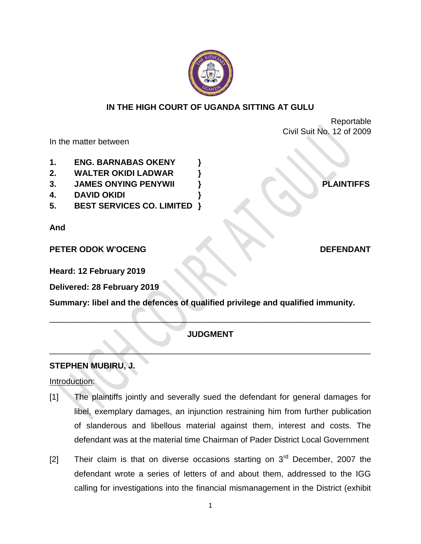

## **IN THE HIGH COURT OF UGANDA SITTING AT GULU**

Reportable Civil Suit No. 12 of 2009

In the matter between

- **1. ENG. BARNABAS OKENY }**
- **2. WALTER OKIDI LADWAR }**
- **3. JAMES ONYING PENYWII } PLAINTIFFS**
- **4. DAVID OKIDI }**
- **5. BEST SERVICES CO. LIMITED }**

**And**

**PETER ODOK W'OCENG DEFENDANT** 

**Heard: 12 February 2019**

**Delivered: 28 February 2019**

**Summary: libel and the defences of qualified privilege and qualified immunity.**

# **JUDGMENT**

\_\_\_\_\_\_\_\_\_\_\_\_\_\_\_\_\_\_\_\_\_\_\_\_\_\_\_\_\_\_\_\_\_\_\_\_\_\_\_\_\_\_\_\_\_\_\_\_\_\_\_\_\_\_\_\_\_\_\_\_\_\_\_\_\_\_\_\_\_\_

\_\_\_\_\_\_\_\_\_\_\_\_\_\_\_\_\_\_\_\_\_\_\_\_\_\_\_\_\_\_\_\_\_\_\_\_\_\_\_\_\_\_\_\_\_\_\_\_\_\_\_\_\_\_\_\_\_\_\_\_\_\_\_\_\_\_\_\_\_\_

# **STEPHEN MUBIRU, J.**

## Introduction:

- [1] The plaintiffs jointly and severally sued the defendant for general damages for libel, exemplary damages, an injunction restraining him from further publication of slanderous and libellous material against them, interest and costs. The defendant was at the material time Chairman of Pader District Local Government
- [2] Their claim is that on diverse occasions starting on  $3<sup>rd</sup>$  December, 2007 the defendant wrote a series of letters of and about them, addressed to the IGG calling for investigations into the financial mismanagement in the District (exhibit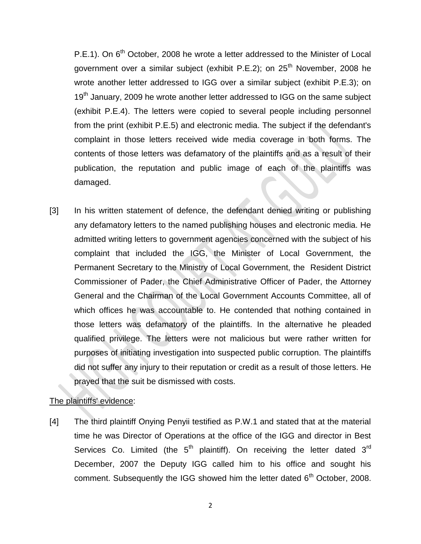$P.E.1$ ). On  $6<sup>th</sup>$  October, 2008 he wrote a letter addressed to the Minister of Local government over a similar subject (exhibit P.E.2); on  $25<sup>th</sup>$  November, 2008 he wrote another letter addressed to IGG over a similar subject (exhibit P.E.3); on 19<sup>th</sup> January, 2009 he wrote another letter addressed to IGG on the same subject (exhibit P.E.4). The letters were copied to several people including personnel from the print (exhibit P.E.5) and electronic media. The subject if the defendant's complaint in those letters received wide media coverage in both forms. The contents of those letters was defamatory of the plaintiffs and as a result of their publication, the reputation and public image of each of the plaintiffs was damaged.

[3] In his written statement of defence, the defendant denied writing or publishing any defamatory letters to the named publishing houses and electronic media. He admitted writing letters to government agencies concerned with the subject of his complaint that included the IGG, the Minister of Local Government, the Permanent Secretary to the Ministry of Local Government, the Resident District Commissioner of Pader, the Chief Administrative Officer of Pader, the Attorney General and the Chairman of the Local Government Accounts Committee, all of which offices he was accountable to. He contended that nothing contained in those letters was defamatory of the plaintiffs. In the alternative he pleaded qualified privilege. The letters were not malicious but were rather written for purposes of initiating investigation into suspected public corruption. The plaintiffs did not suffer any injury to their reputation or credit as a result of those letters. He prayed that the suit be dismissed with costs.

## The plaintiffs' evidence:

[4] The third plaintiff Onying Penyii testified as P.W.1 and stated that at the material time he was Director of Operations at the office of the IGG and director in Best Services Co. Limited (the  $5<sup>th</sup>$  plaintiff). On receiving the letter dated  $3<sup>rd</sup>$ December, 2007 the Deputy IGG called him to his office and sought his comment. Subsequently the IGG showed him the letter dated  $6<sup>th</sup>$  October, 2008.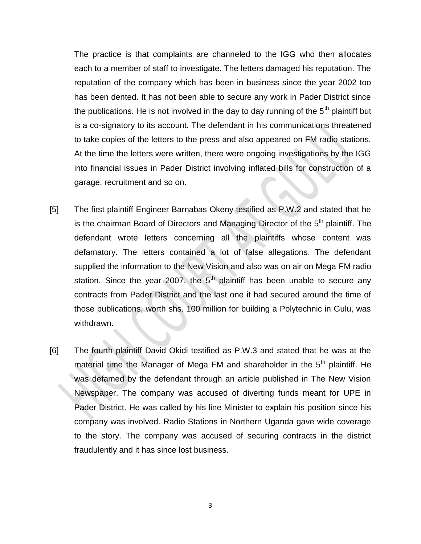The practice is that complaints are channeled to the IGG who then allocates each to a member of staff to investigate. The letters damaged his reputation. The reputation of the company which has been in business since the year 2002 too has been dented. It has not been able to secure any work in Pader District since the publications. He is not involved in the day to day running of the  $5<sup>th</sup>$  plaintiff but is a co-signatory to its account. The defendant in his communications threatened to take copies of the letters to the press and also appeared on FM radio stations. At the time the letters were written, there were ongoing investigations by the IGG into financial issues in Pader District involving inflated bills for construction of a garage, recruitment and so on.

- [5] The first plaintiff Engineer Barnabas Okeny testified as P.W.2 and stated that he is the chairman Board of Directors and Managing Director of the  $5<sup>th</sup>$  plaintiff. The defendant wrote letters concerning all the plaintiffs whose content was defamatory. The letters contained a lot of false allegations. The defendant supplied the information to the New Vision and also was on air on Mega FM radio station. Since the year 2007, the  $5<sup>th</sup>$  plaintiff has been unable to secure any contracts from Pader District and the last one it had secured around the time of those publications, worth shs. 100 million for building a Polytechnic in Gulu, was withdrawn.
- [6] The fourth plaintiff David Okidi testified as P.W.3 and stated that he was at the material time the Manager of Mega FM and shareholder in the  $5<sup>th</sup>$  plaintiff. He was defamed by the defendant through an article published in The New Vision Newspaper. The company was accused of diverting funds meant for UPE in Pader District. He was called by his line Minister to explain his position since his company was involved. Radio Stations in Northern Uganda gave wide coverage to the story. The company was accused of securing contracts in the district fraudulently and it has since lost business.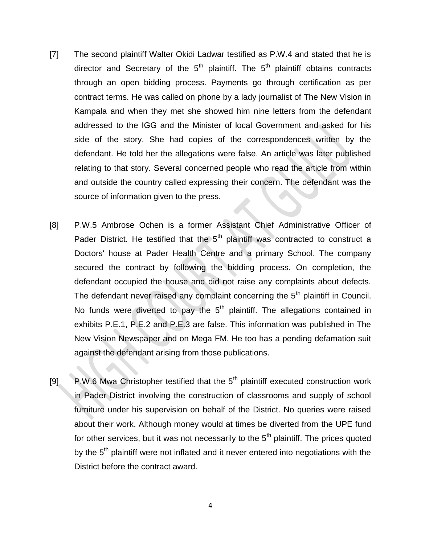- [7] The second plaintiff Walter Okidi Ladwar testified as P.W.4 and stated that he is director and Secretary of the  $5<sup>th</sup>$  plaintiff. The  $5<sup>th</sup>$  plaintiff obtains contracts through an open bidding process. Payments go through certification as per contract terms. He was called on phone by a lady journalist of The New Vision in Kampala and when they met she showed him nine letters from the defendant addressed to the IGG and the Minister of local Government and asked for his side of the story. She had copies of the correspondences written by the defendant. He told her the allegations were false. An article was later published relating to that story. Several concerned people who read the article from within and outside the country called expressing their concern. The defendant was the source of information given to the press.
- [8] P.W.5 Ambrose Ochen is a former Assistant Chief Administrative Officer of Pader District. He testified that the  $5<sup>th</sup>$  plaintiff was contracted to construct a Doctors' house at Pader Health Centre and a primary School. The company secured the contract by following the bidding process. On completion, the defendant occupied the house and did not raise any complaints about defects. The defendant never raised any complaint concerning the  $5<sup>th</sup>$  plaintiff in Council. No funds were diverted to pay the  $5<sup>th</sup>$  plaintiff. The allegations contained in exhibits P.E.1, P.E.2 and P.E.3 are false. This information was published in The New Vision Newspaper and on Mega FM. He too has a pending defamation suit against the defendant arising from those publications.
- [9] P.W.6 Mwa Christopher testified that the 5<sup>th</sup> plaintiff executed construction work in Pader District involving the construction of classrooms and supply of school furniture under his supervision on behalf of the District. No queries were raised about their work. Although money would at times be diverted from the UPE fund for other services, but it was not necessarily to the  $5<sup>th</sup>$  plaintiff. The prices quoted by the  $5<sup>th</sup>$  plaintiff were not inflated and it never entered into negotiations with the District before the contract award.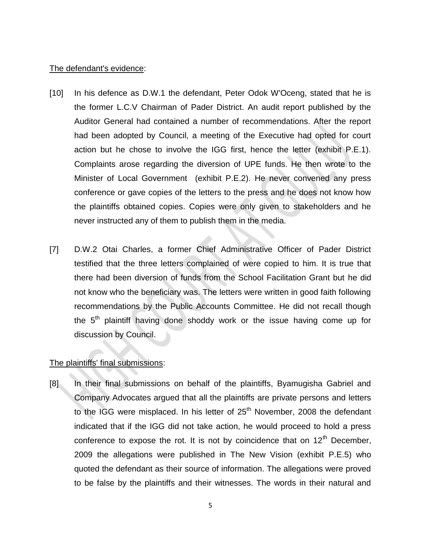#### The defendant's evidence:

- [10] In his defence as D.W.1 the defendant, Peter Odok W'Oceng, stated that he is the former L.C.V Chairman of Pader District. An audit report published by the Auditor General had contained a number of recommendations. After the report had been adopted by Council, a meeting of the Executive had opted for court action but he chose to involve the IGG first, hence the letter (exhibit P.E.1). Complaints arose regarding the diversion of UPE funds. He then wrote to the Minister of Local Government (exhibit P.E.2). He never convened any press conference or gave copies of the letters to the press and he does not know how the plaintiffs obtained copies. Copies were only given to stakeholders and he never instructed any of them to publish them in the media.
- [7] D.W.2 Otai Charles, a former Chief Administrative Officer of Pader District testified that the three letters complained of were copied to him. It is true that there had been diversion of funds from the School Facilitation Grant but he did not know who the beneficiary was. The letters were written in good faith following recommendations by the Public Accounts Committee. He did not recall though the  $5<sup>th</sup>$  plaintiff having done shoddy work or the issue having come up for discussion by Council.

## The plaintiffs' final submissions:

[8] In their final submissions on behalf of the plaintiffs, Byamugisha Gabriel and Company Advocates argued that all the plaintiffs are private persons and letters to the IGG were misplaced. In his letter of  $25<sup>th</sup>$  November, 2008 the defendant indicated that if the IGG did not take action, he would proceed to hold a press conference to expose the rot. It is not by coincidence that on  $12<sup>th</sup>$  December, 2009 the allegations were published in The New Vision (exhibit P.E.5) who quoted the defendant as their source of information. The allegations were proved to be false by the plaintiffs and their witnesses. The words in their natural and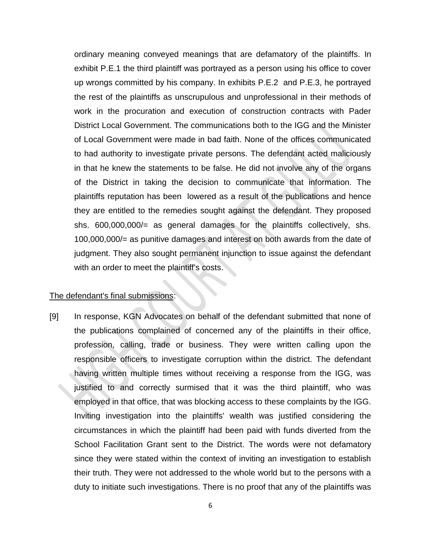ordinary meaning conveyed meanings that are defamatory of the plaintiffs. In exhibit P.E.1 the third plaintiff was portrayed as a person using his office to cover up wrongs committed by his company. In exhibits P.E.2 and P.E.3, he portrayed the rest of the plaintiffs as unscrupulous and unprofessional in their methods of work in the procuration and execution of construction contracts with Pader District Local Government. The communications both to the IGG and the Minister of Local Government were made in bad faith. None of the offices communicated to had authority to investigate private persons. The defendant acted maliciously in that he knew the statements to be false. He did not involve any of the organs of the District in taking the decision to communicate that information. The plaintiffs reputation has been lowered as a result of the publications and hence they are entitled to the remedies sought against the defendant. They proposed shs. 600,000,000/= as general damages for the plaintiffs collectively, shs. 100,000,000/= as punitive damages and interest on both awards from the date of judgment. They also sought permanent injunction to issue against the defendant with an order to meet the plaintiff's costs.

#### The defendant's final submissions:

[9] In response, KGN Advocates on behalf of the defendant submitted that none of the publications complained of concerned any of the plaintiffs in their office, profession, calling, trade or business. They were written calling upon the responsible officers to investigate corruption within the district. The defendant having written multiple times without receiving a response from the IGG, was justified to and correctly surmised that it was the third plaintiff, who was employed in that office, that was blocking access to these complaints by the IGG. Inviting investigation into the plaintiffs' wealth was justified considering the circumstances in which the plaintiff had been paid with funds diverted from the School Facilitation Grant sent to the District. The words were not defamatory since they were stated within the context of inviting an investigation to establish their truth. They were not addressed to the whole world but to the persons with a duty to initiate such investigations. There is no proof that any of the plaintiffs was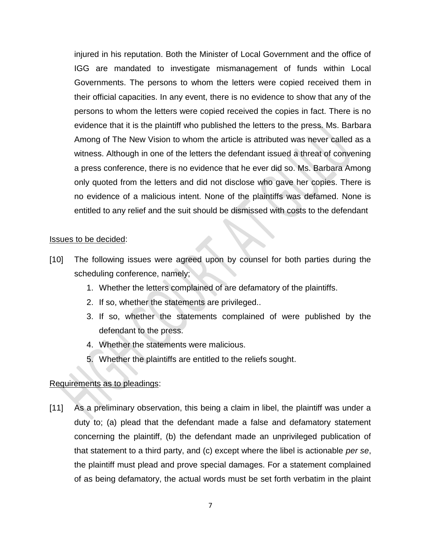injured in his reputation. Both the Minister of Local Government and the office of IGG are mandated to investigate mismanagement of funds within Local Governments. The persons to whom the letters were copied received them in their official capacities. In any event, there is no evidence to show that any of the persons to whom the letters were copied received the copies in fact. There is no evidence that it is the plaintiff who published the letters to the press. Ms. Barbara Among of The New Vision to whom the article is attributed was never called as a witness. Although in one of the letters the defendant issued a threat of convening a press conference, there is no evidence that he ever did so. Ms. Barbara Among only quoted from the letters and did not disclose who gave her copies. There is no evidence of a malicious intent. None of the plaintiffs was defamed. None is entitled to any relief and the suit should be dismissed with costs to the defendant

#### Issues to be decided:

- [10] The following issues were agreed upon by counsel for both parties during the scheduling conference, namely;
	- 1. Whether the letters complained of are defamatory of the plaintiffs.
	- 2. If so, whether the statements are privileged..
	- 3. If so, whether the statements complained of were published by the defendant to the press.
	- 4. Whether the statements were malicious.
	- 5. Whether the plaintiffs are entitled to the reliefs sought.

## Requirements as to pleadings:

[11] As a preliminary observation, this being a claim in libel, the plaintiff was under a duty to; (a) plead that the defendant made a false and defamatory statement concerning the plaintiff, (b) the defendant made an unprivileged publication of that statement to a third party, and (c) except where the libel is actionable *per se*, the plaintiff must plead and prove special damages. For a statement complained of as being defamatory, the actual words must be set forth verbatim in the plaint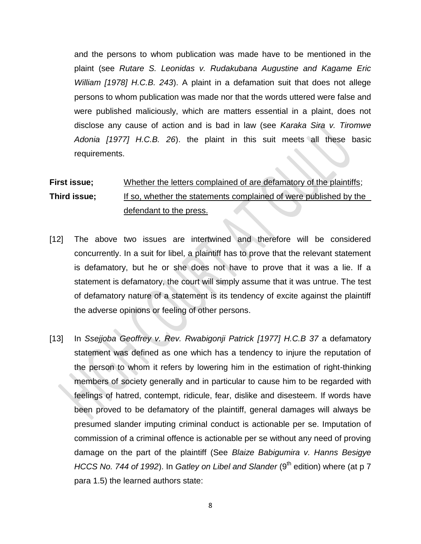and the persons to whom publication was made have to be mentioned in the plaint (see *Rutare S. Leonidas v. Rudakubana Augustine and Kagame Eric William [1978] H.C.B. 243*). A plaint in a defamation suit that does not allege persons to whom publication was made nor that the words uttered were false and were published maliciously, which are matters essential in a plaint, does not disclose any cause of action and is bad in law (see *Karaka Sira v. Tiromwe Adonia [1977] H.C.B. 26*). the plaint in this suit meets all these basic requirements.

# **First issue;** Whether the letters complained of are defamatory of the plaintiffs; **Third issue;** If so, whether the statements complained of were published by the defendant to the press.

- [12] The above two issues are intertwined and therefore will be considered concurrently. In a suit for libel, a plaintiff has to prove that the relevant statement is defamatory, but he or she does not have to prove that it was a lie. If a statement is defamatory, the court will simply assume that it was untrue. The test of defamatory nature of a statement is its tendency of excite against the plaintiff the adverse opinions or feeling of other persons.
- [13] In *Ssejjoba Geoffrey v. Rev. Rwabigonji Patrick [1977] H.C.B 37* a defamatory statement was defined as one which has a tendency to injure the reputation of the person to whom it refers by lowering him in the estimation of right-thinking members of society generally and in particular to cause him to be regarded with feelings of hatred, contempt, ridicule, fear, dislike and disesteem. If words have been proved to be defamatory of the plaintiff, general damages will always be presumed slander imputing criminal conduct is actionable per se. Imputation of commission of a criminal offence is actionable per se without any need of proving damage on the part of the plaintiff (See *Blaize Babigumira v. Hanns Besigye HCCS No. 744 of 1992*). In *Gatley on Libel and Slander* (9<sup>th</sup> edition) where (at p 7 para 1.5) the learned authors state: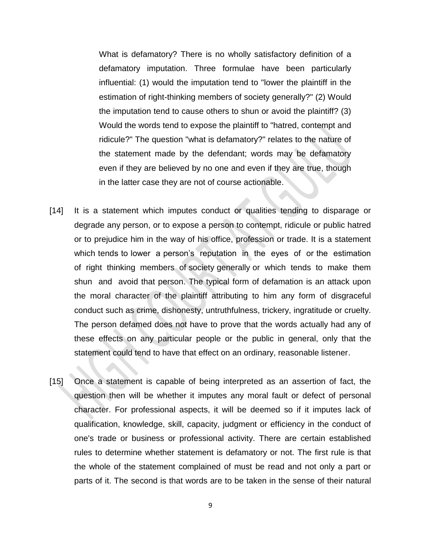What is defamatory? There is no wholly satisfactory definition of a defamatory imputation. Three formulae have been particularly influential: (1) would the imputation tend to "lower the plaintiff in the estimation of right-thinking members of society generally?" (2) Would the imputation tend to cause others to shun or avoid the plaintiff? (3) Would the words tend to expose the plaintiff to "hatred, contempt and ridicule?" The question "what is defamatory?" relates to the nature of the statement made by the defendant; words may be defamatory even if they are believed by no one and even if they are true, though in the latter case they are not of course actionable.

- [14] It is a statement which imputes conduct or qualities tending to disparage or degrade any person, or to expose a person to contempt, ridicule or public hatred or to prejudice him in the way of his office, profession or trade. It is a statement which tends to lower a person's reputation in the eyes of or the estimation of right thinking members of society generally or which tends to make them shun and avoid that person. The typical form of defamation is an attack upon the moral character of the plaintiff attributing to him any form of disgraceful conduct such as crime, dishonesty, untruthfulness, trickery, ingratitude or cruelty. The person defamed does not have to prove that the words actually had any of these effects on any particular people or the public in general, only that the statement could tend to have that effect on an ordinary, reasonable listener.
- [15] Once a statement is capable of being interpreted as an assertion of fact, the question then will be whether it imputes any moral fault or defect of personal character. For professional aspects, it will be deemed so if it imputes lack of qualification, knowledge, skill, capacity, judgment or efficiency in the conduct of one's trade or business or professional activity. There are certain established rules to determine whether statement is defamatory or not. The first rule is that the whole of the statement complained of must be read and not only a part or parts of it. The second is that words are to be taken in the sense of their natural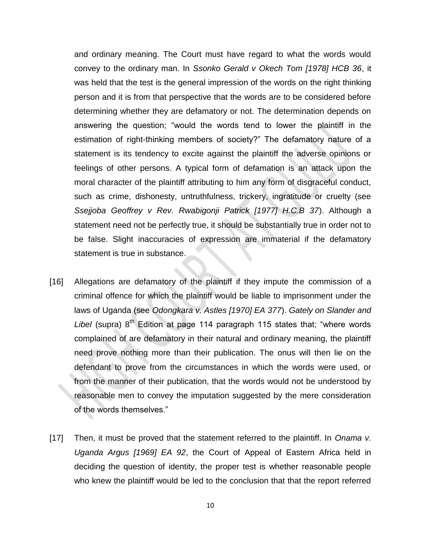and ordinary meaning. The Court must have regard to what the words would convey to the ordinary man. In *Ssonko Gerald v Okech Tom [1978] HCB 36*, it was held that the test is the general impression of the words on the right thinking person and it is from that perspective that the words are to be considered before determining whether they are defamatory or not. The determination depends on answering the question; "would the words tend to lower the plaintiff in the estimation of right-thinking members of society?" The defamatory nature of a statement is its tendency to excite against the plaintiff the adverse opinions or feelings of other persons. A typical form of defamation is an attack upon the moral character of the plaintiff attributing to him any form of disgraceful conduct, such as crime, dishonesty, untruthfulness, trickery, ingratitude or cruelty (see *Ssejjoba Geoffrey v Rev. Rwabigonji Patrick [1977] H.C.B 37*). Although a statement need not be perfectly true, it should be substantially true in order not to be false. Slight inaccuracies of expression are immaterial if the defamatory statement is true in substance.

- [16] Allegations are defamatory of the plaintiff if they impute the commission of a criminal offence for which the plaintiff would be liable to imprisonment under the laws of Uganda (see *Odongkara v. Astles [1970] EA 377*). *Gately on Slander and*  Libel (supra) 8<sup>th</sup> Edition at page 114 paragraph 115 states that; "where words complained of are defamatory in their natural and ordinary meaning, the plaintiff need prove nothing more than their publication. The onus will then lie on the defendant to prove from the circumstances in which the words were used, or from the manner of their publication, that the words would not be understood by reasonable men to convey the imputation suggested by the mere consideration of the words themselves."
- [17] Then, it must be proved that the statement referred to the plaintiff. In *Onama v. Uganda Argus [1969] EA 92*, the Court of Appeal of Eastern Africa held in deciding the question of identity, the proper test is whether reasonable people who knew the plaintiff would be led to the conclusion that that the report referred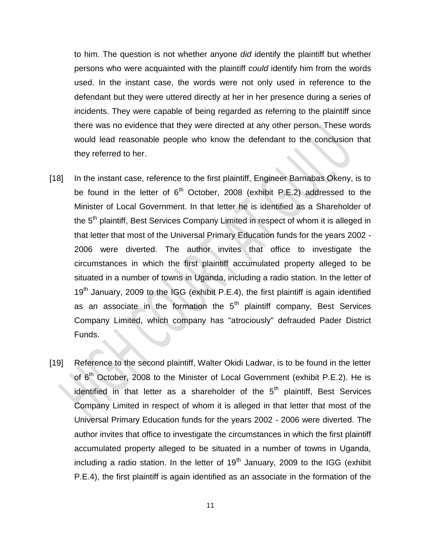to him. The question is not whether anyone *did* identify the plaintiff but whether persons who were acquainted with the plaintiff *could* identify him from the words used. In the instant case, the words were not only used in reference to the defendant but they were uttered directly at her in her presence during a series of incidents. They were capable of being regarded as referring to the plaintiff since there was no evidence that they were directed at any other person. These words would lead reasonable people who know the defendant to the conclusion that they referred to her.

- [18] In the instant case, reference to the first plaintiff, Engineer Barnabas Okeny, is to be found in the letter of  $6<sup>th</sup>$  October, 2008 (exhibit P.E.2) addressed to the Minister of Local Government. In that letter he is identified as a Shareholder of the 5<sup>th</sup> plaintiff, Best Services Company Limited in respect of whom it is alleged in that letter that most of the Universal Primary Education funds for the years 2002 - 2006 were diverted. The author invites that office to investigate the circumstances in which the first plaintiff accumulated property alleged to be situated in a number of towns in Uganda, including a radio station. In the letter of  $19<sup>th</sup>$  January, 2009 to the IGG (exhibit P.E.4), the first plaintiff is again identified as an associate in the formation the  $5<sup>th</sup>$  plaintiff company, Best Services Company Limited, which company has "atrociously" defrauded Pader District Funds.
- [19] Reference to the second plaintiff, Walter Okidi Ladwar, is to be found in the letter of  $6<sup>th</sup>$  October, 2008 to the Minister of Local Government (exhibit P.E.2). He is identified in that letter as a shareholder of the  $5<sup>th</sup>$  plaintiff, Best Services Company Limited in respect of whom it is alleged in that letter that most of the Universal Primary Education funds for the years 2002 - 2006 were diverted. The author invites that office to investigate the circumstances in which the first plaintiff accumulated property alleged to be situated in a number of towns in Uganda, including a radio station. In the letter of  $19<sup>th</sup>$  January, 2009 to the IGG (exhibit P.E.4), the first plaintiff is again identified as an associate in the formation of the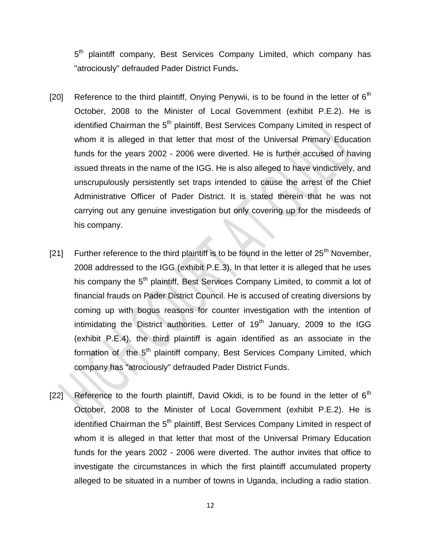5<sup>th</sup> plaintiff company, Best Services Company Limited, which company has "atrociously" defrauded Pader District Funds**.**

- [20] Reference to the third plaintiff, Onying Penywii, is to be found in the letter of  $6<sup>th</sup>$ October, 2008 to the Minister of Local Government (exhibit P.E.2). He is identified Chairman the 5<sup>th</sup> plaintiff, Best Services Company Limited in respect of whom it is alleged in that letter that most of the Universal Primary Education funds for the years 2002 - 2006 were diverted. He is further accused of having issued threats in the name of the IGG. He is also alleged to have vindictively, and unscrupulously persistently set traps intended to cause the arrest of the Chief Administrative Officer of Pader District. It is stated therein that he was not carrying out any genuine investigation but only covering up for the misdeeds of his company.
- [21] Further reference to the third plaintiff is to be found in the letter of  $25<sup>th</sup>$  November, 2008 addressed to the IGG (exhibit P.E.3). In that letter it is alleged that he uses his company the 5<sup>th</sup> plaintiff, Best Services Company Limited, to commit a lot of financial frauds on Pader District Council. He is accused of creating diversions by coming up with bogus reasons for counter investigation with the intention of intimidating the District authorities. Letter of  $19<sup>th</sup>$  January, 2009 to the IGG (exhibit P.E.4), the third plaintiff is again identified as an associate in the formation of the 5<sup>th</sup> plaintiff company, Best Services Company Limited, which company has "atrociously" defrauded Pader District Funds.
- [22] Reference to the fourth plaintiff, David Okidi, is to be found in the letter of  $6<sup>th</sup>$ October, 2008 to the Minister of Local Government (exhibit P.E.2). He is identified Chairman the 5<sup>th</sup> plaintiff, Best Services Company Limited in respect of whom it is alleged in that letter that most of the Universal Primary Education funds for the years 2002 - 2006 were diverted. The author invites that office to investigate the circumstances in which the first plaintiff accumulated property alleged to be situated in a number of towns in Uganda, including a radio station.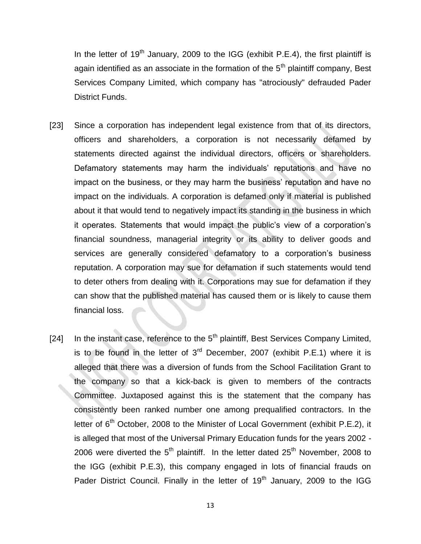In the letter of  $19<sup>th</sup>$  January, 2009 to the IGG (exhibit P.E.4), the first plaintiff is again identified as an associate in the formation of the  $5<sup>th</sup>$  plaintiff company, Best Services Company Limited, which company has "atrociously" defrauded Pader District Funds.

- [23] Since a corporation has independent legal existence from that of its directors, officers and shareholders, a corporation is not necessarily defamed by statements directed against the individual directors, officers or shareholders. Defamatory statements may harm the individuals' reputations and have no impact on the business, or they may harm the business' reputation and have no impact on the individuals. A corporation is defamed only if material is published about it that would tend to negatively impact its standing in the business in which it operates. Statements that would impact the public's view of a corporation's financial soundness, managerial integrity or its ability to deliver goods and services are generally considered defamatory to a corporation's business reputation. A corporation may sue for defamation if such statements would tend to deter others from dealing with it. Corporations may sue for defamation if they can show that the published material has caused them or is likely to cause them financial loss.
- [24] In the instant case, reference to the  $5<sup>th</sup>$  plaintiff, Best Services Company Limited, is to be found in the letter of  $3<sup>rd</sup>$  December, 2007 (exhibit P.E.1) where it is alleged that there was a diversion of funds from the School Facilitation Grant to the company so that a kick-back is given to members of the contracts Committee. Juxtaposed against this is the statement that the company has consistently been ranked number one among prequalified contractors. In the letter of 6<sup>th</sup> October, 2008 to the Minister of Local Government (exhibit P.E.2), it is alleged that most of the Universal Primary Education funds for the years 2002 - 2006 were diverted the  $5<sup>th</sup>$  plaintiff. In the letter dated  $25<sup>th</sup>$  November, 2008 to the IGG (exhibit P.E.3), this company engaged in lots of financial frauds on Pader District Council. Finally in the letter of 19<sup>th</sup> January, 2009 to the IGG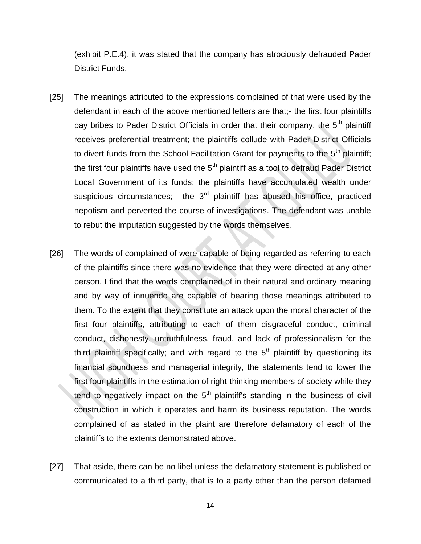(exhibit P.E.4), it was stated that the company has atrociously defrauded Pader District Funds.

- [25] The meanings attributed to the expressions complained of that were used by the defendant in each of the above mentioned letters are that;- the first four plaintiffs pay bribes to Pader District Officials in order that their company, the 5<sup>th</sup> plaintiff receives preferential treatment; the plaintiffs collude with Pader District Officials to divert funds from the School Facilitation Grant for payments to the  $5<sup>th</sup>$  plaintiff; the first four plaintiffs have used the  $5<sup>th</sup>$  plaintiff as a tool to defraud Pader District Local Government of its funds; the plaintiffs have accumulated wealth under suspicious circumstances; the  $3<sup>rd</sup>$  plaintiff has abused his office, practiced nepotism and perverted the course of investigations. The defendant was unable to rebut the imputation suggested by the words themselves.
- [26] The words of complained of were capable of being regarded as referring to each of the plaintiffs since there was no evidence that they were directed at any other person. I find that the words complained of in their natural and ordinary meaning and by way of innuendo are capable of bearing those meanings attributed to them. To the extent that they constitute an attack upon the moral character of the first four plaintiffs, attributing to each of them disgraceful conduct, criminal conduct, dishonesty, untruthfulness, fraud, and lack of professionalism for the third plaintiff specifically; and with regard to the  $5<sup>th</sup>$  plaintiff by questioning its financial soundness and managerial integrity, the statements tend to lower the first four plaintiffs in the estimation of right-thinking members of society while they tend to negatively impact on the  $5<sup>th</sup>$  plaintiff's standing in the business of civil construction in which it operates and harm its business reputation. The words complained of as stated in the plaint are therefore defamatory of each of the plaintiffs to the extents demonstrated above.
- [27] That aside, there can be no libel unless the defamatory statement is published or communicated to a third party, that is to a party other than the person defamed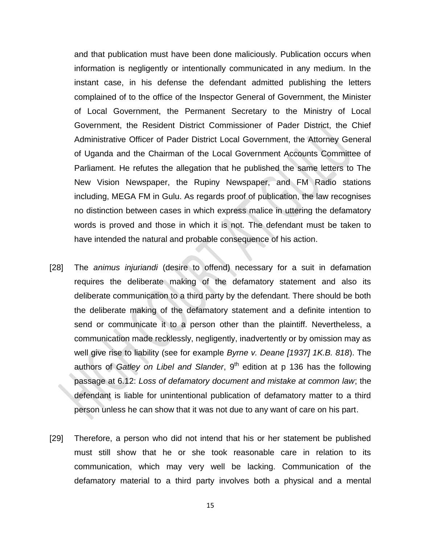and that publication must have been done maliciously. Publication occurs when information is negligently or intentionally communicated in any medium. In the instant case, in his defense the defendant admitted publishing the letters complained of to the office of the Inspector General of Government, the Minister of Local Government, the Permanent Secretary to the Ministry of Local Government, the Resident District Commissioner of Pader District, the Chief Administrative Officer of Pader District Local Government, the Attorney General of Uganda and the Chairman of the Local Government Accounts Committee of Parliament. He refutes the allegation that he published the same letters to The New Vision Newspaper, the Rupiny Newspaper, and FM Radio stations including, MEGA FM in Gulu. As regards proof of publication, the law recognises no distinction between cases in which express malice in uttering the defamatory words is proved and those in which it is not. The defendant must be taken to have intended the natural and probable consequence of his action.

- [28] The *animus injuriandi* (desire to offend) necessary for a suit in defamation requires the deliberate making of the defamatory statement and also its deliberate communication to a third party by the defendant. There should be both the deliberate making of the defamatory statement and a definite intention to send or communicate it to a person other than the plaintiff. Nevertheless, a communication made recklessly, negligently, inadvertently or by omission may as well give rise to liability (see for example *Byrne v. Deane [1937] 1K.B. 818*). The authors of *Gatley on Libel and Slander*, 9<sup>th</sup> edition at p 136 has the following passage at 6.12: *Loss of defamatory document and mistake at common law*; the defendant is liable for unintentional publication of defamatory matter to a third person unless he can show that it was not due to any want of care on his part.
- [29] Therefore, a person who did not intend that his or her statement be published must still show that he or she took reasonable care in relation to its communication, which may very well be lacking. Communication of the defamatory material to a third party involves both a physical and a mental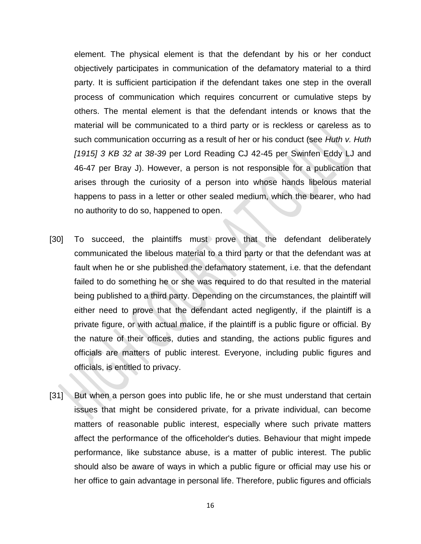element. The physical element is that the defendant by his or her conduct objectively participates in communication of the defamatory material to a third party. It is sufficient participation if the defendant takes one step in the overall process of communication which requires concurrent or cumulative steps by others. The mental element is that the defendant intends or knows that the material will be communicated to a third party or is reckless or careless as to such communication occurring as a result of her or his conduct (see *Huth v. Huth [1915] 3 KB 32 at 38-39* per Lord Reading CJ 42-45 per Swinfen Eddy LJ and 46-47 per Bray J). However, a person is not responsible for a publication that arises through the curiosity of a person into whose hands libelous material happens to pass in a letter or other sealed medium, which the bearer, who had no authority to do so, happened to open.

- [30] To succeed, the plaintiffs must prove that the defendant deliberately communicated the libelous material to a third party or that the defendant was at fault when he or she published the defamatory statement, i.e. that the defendant failed to do something he or she was required to do that resulted in the material being published to a third party. Depending on the circumstances, the plaintiff will either need to prove that the defendant acted negligently, if the plaintiff is a private figure, or with actual malice, if the plaintiff is a public figure or official. By the nature of their offices, duties and standing, the actions public figures and officials are matters of public interest. Everyone, including public figures and officials, is entitled to privacy.
- [31] But when a person goes into public life, he or she must understand that certain issues that might be considered private, for a private individual, can become matters of reasonable public interest, especially where such private matters affect the performance of the officeholder's duties. Behaviour that might impede performance, like substance abuse, is a matter of public interest. The public should also be aware of ways in which a public figure or official may use his or her office to gain advantage in personal life. Therefore, public figures and officials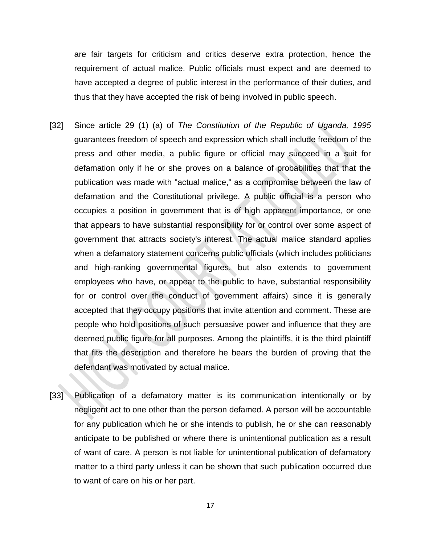are fair targets for criticism and critics deserve extra protection, hence the requirement of actual malice. Public officials must expect and are deemed to have accepted a degree of public interest in the performance of their duties, and thus that they have accepted the risk of being involved in public speech.

- [32] Since article 29 (1) (a) of *The Constitution of the Republic of Uganda, 1995* guarantees freedom of speech and expression which shall include freedom of the press and other media, a public figure or official may succeed in a suit for defamation only if he or she proves on a balance of probabilities that that the publication was made with "actual malice," as a compromise between the law of defamation and the Constitutional privilege. A public official is a person who occupies a position in government that is of high apparent importance, or one that appears to have substantial responsibility for or control over some aspect of government that attracts society's interest. The actual malice standard applies when a defamatory statement concerns public officials (which includes politicians and high-ranking governmental figures, but also extends to government employees who have, or appear to the public to have, substantial responsibility for or control over the conduct of government affairs) since it is generally accepted that they occupy positions that invite attention and comment. These are people who hold positions of such persuasive power and influence that they are deemed public figure for all purposes. Among the plaintiffs, it is the third plaintiff that fits the description and therefore he bears the burden of proving that the defendant was motivated by actual malice.
- [33] Publication of a defamatory matter is its communication intentionally or by negligent act to one other than the person defamed. A person will be accountable for any publication which he or she intends to publish, he or she can reasonably anticipate to be published or where there is unintentional publication as a result of want of care. A person is not liable for unintentional publication of defamatory matter to a third party unless it can be shown that such publication occurred due to want of care on his or her part.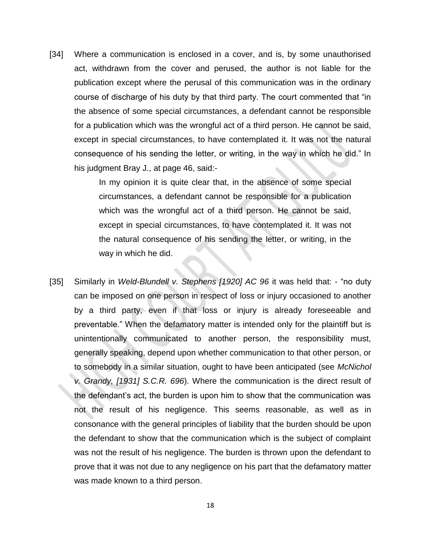[34] Where a communication is enclosed in a cover, and is, by some unauthorised act, withdrawn from the cover and perused, the author is not liable for the publication except where the perusal of this communication was in the ordinary course of discharge of his duty by that third party. The court commented that "in the absence of some special circumstances, a defendant cannot be responsible for a publication which was the wrongful act of a third person. He cannot be said, except in special circumstances, to have contemplated it. It was not the natural consequence of his sending the letter, or writing, in the way in which he did." In his judgment Bray J., at page 46, said:-

> In my opinion it is quite clear that, in the absence of some special circumstances, a defendant cannot be responsible for a publication which was the wrongful act of a third person. He cannot be said, except in special circumstances, to have contemplated it. It was not the natural consequence of his sending the letter, or writing, in the way in which he did.

[35] Similarly in *Weld-Blundell v. Stephens [1920] AC 96* it was held that: - "no duty can be imposed on one person in respect of loss or injury occasioned to another by a third party, even if that loss or injury is already foreseeable and preventable." When the defamatory matter is intended only for the plaintiff but is unintentionally communicated to another person, the responsibility must, generally speaking, depend upon whether communication to that other person, or to somebody in a similar situation, ought to have been anticipated (see *McNichol v. Grandy, [1931] S.C.R. 696*). Where the communication is the direct result of the defendant's act, the burden is upon him to show that the communication was not the result of his negligence. This seems reasonable, as well as in consonance with the general principles of liability that the burden should be upon the defendant to show that the communication which is the subject of complaint was not the result of his negligence. The burden is thrown upon the defendant to prove that it was not due to any negligence on his part that the defamatory matter was made known to a third person.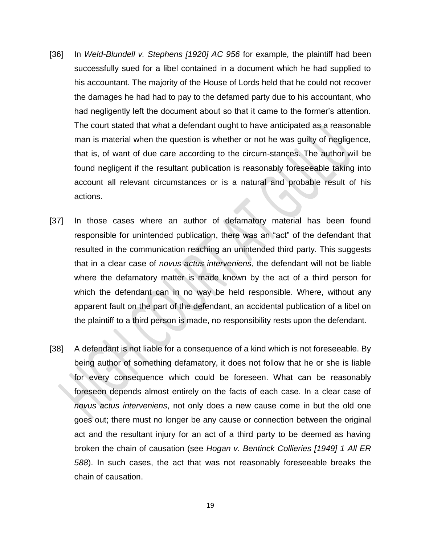- [36] In *Weld-Blundell v. Stephens [1920] AC 956* for example*,* the plaintiff had been successfully sued for a libel contained in a document which he had supplied to his accountant. The majority of the House of Lords held that he could not recover the damages he had had to pay to the defamed party due to his accountant, who had negligently left the document about so that it came to the former's attention. The court stated that what a defendant ought to have anticipated as a reasonable man is material when the question is whether or not he was guilty of negligence, that is, of want of due care according to the circum-stances. The author will be found negligent if the resultant publication is reasonably foreseeable taking into account all relevant circumstances or is a natural and probable result of his actions.
- [37] In those cases where an author of defamatory material has been found responsible for unintended publication, there was an "act" of the defendant that resulted in the communication reaching an unintended third party. This suggests that in a clear case of *novus actus interveniens*, the defendant will not be liable where the defamatory matter is made known by the act of a third person for which the defendant can in no way be held responsible. Where, without any apparent fault on the part of the defendant, an accidental publication of a libel on the plaintiff to a third person is made, no responsibility rests upon the defendant*.*
- [38] A defendant is not liable for a consequence of a kind which is not foreseeable. By being author of something defamatory, it does not follow that he or she is liable for every consequence which could be foreseen. What can be reasonably foreseen depends almost entirely on the facts of each case. In a clear case of *novus actus interveniens*, not only does a new cause come in but the old one goes out; there must no longer be any cause or connection between the original act and the resultant injury for an act of a third party to be deemed as having broken the chain of causation (see *Hogan v. Bentinck Collieries [1949] 1 All ER 588*). In such cases, the act that was not reasonably foreseeable breaks the chain of causation.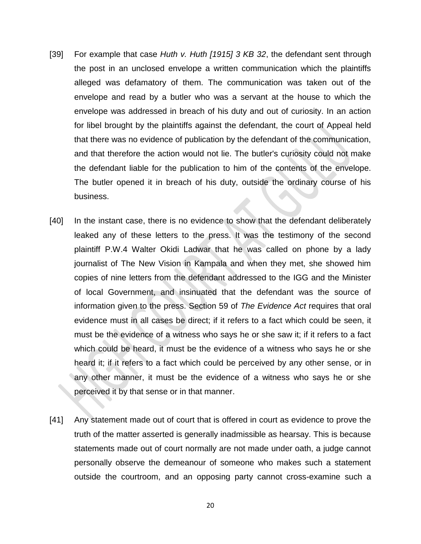- [39] For example that case *Huth v. Huth [1915] 3 KB 32*, the defendant sent through the post in an unclosed envelope a written communication which the plaintiffs alleged was defamatory of them. The communication was taken out of the envelope and read by a butler who was a servant at the house to which the envelope was addressed in breach of his duty and out of curiosity. In an action for libel brought by the plaintiffs against the defendant, the court of Appeal held that there was no evidence of publication by the defendant of the communication, and that therefore the action would not lie. The butler's curiosity could not make the defendant liable for the publication to him of the contents of the envelope. The butler opened it in breach of his duty, outside the ordinary course of his business.
- [40] In the instant case, there is no evidence to show that the defendant deliberately leaked any of these letters to the press. It was the testimony of the second plaintiff P.W.4 Walter Okidi Ladwar that he was called on phone by a lady journalist of The New Vision in Kampala and when they met, she showed him copies of nine letters from the defendant addressed to the IGG and the Minister of local Government, and insinuated that the defendant was the source of information given to the press. Section 59 of *The Evidence Act* requires that oral evidence must in all cases be direct; if it refers to a fact which could be seen, it must be the evidence of a witness who says he or she saw it; if it refers to a fact which could be heard, it must be the evidence of a witness who says he or she heard it; if it refers to a fact which could be perceived by any other sense, or in any other manner, it must be the evidence of a witness who says he or she perceived it by that sense or in that manner.
- [41] Any statement made out of court that is offered in court as evidence to prove the truth of the matter asserted is generally inadmissible as hearsay. This is because statements made out of court normally are not made under oath, a judge cannot personally observe the demeanour of someone who makes such a statement outside the courtroom, and an opposing party cannot cross-examine such a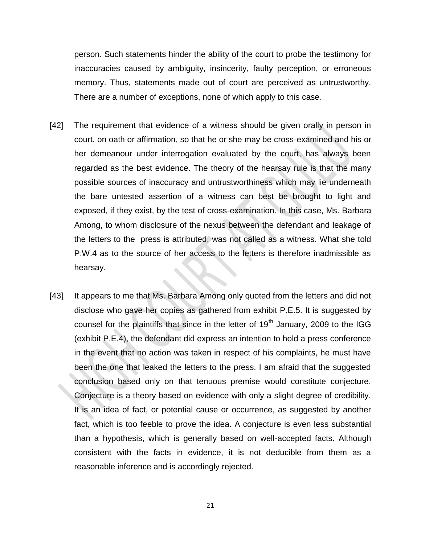person. Such statements hinder the ability of the court to probe the testimony for inaccuracies caused by ambiguity, insincerity, faulty perception, or erroneous memory. Thus, statements made out of court are perceived as untrustworthy. There are a number of exceptions, none of which apply to this case.

- [42] The requirement that evidence of a witness should be given orally in person in court, on oath or affirmation, so that he or she may be cross-examined and his or her demeanour under interrogation evaluated by the court, has always been regarded as the best evidence. The theory of the hearsay rule is that the many possible sources of inaccuracy and untrustworthiness which may lie underneath the bare untested assertion of a witness can best be brought to light and exposed, if they exist, by the test of cross-examination. In this case, Ms. Barbara Among, to whom disclosure of the nexus between the defendant and leakage of the letters to the press is attributed, was not called as a witness. What she told P.W.4 as to the source of her access to the letters is therefore inadmissible as hearsay.
- [43] It appears to me that Ms. Barbara Among only quoted from the letters and did not disclose who gave her copies as gathered from exhibit P.E.5. It is suggested by counsel for the plaintiffs that since in the letter of  $19<sup>th</sup>$  January, 2009 to the IGG (exhibit P.E.4), the defendant did express an intention to hold a press conference in the event that no action was taken in respect of his complaints, he must have been the one that leaked the letters to the press. I am afraid that the suggested conclusion based only on that tenuous premise would constitute conjecture. Conjecture is a theory based on evidence with only a slight degree of credibility. It is an idea of fact, or potential cause or occurrence, as suggested by another fact, which is too feeble to prove the idea. A conjecture is even less substantial than a hypothesis, which is generally based on well-accepted facts. Although consistent with the facts in evidence, it is not deducible from them as a reasonable inference and is accordingly rejected.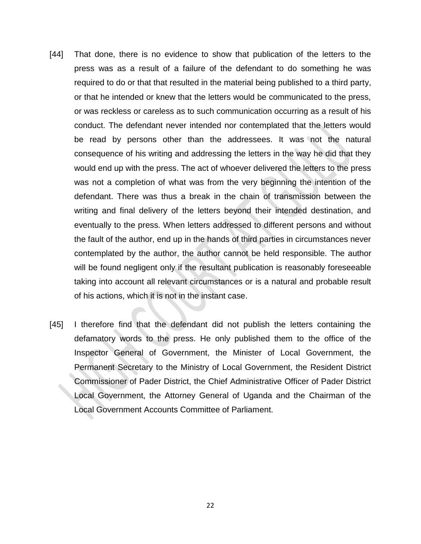- [44] That done, there is no evidence to show that publication of the letters to the press was as a result of a failure of the defendant to do something he was required to do or that that resulted in the material being published to a third party, or that he intended or knew that the letters would be communicated to the press, or was reckless or careless as to such communication occurring as a result of his conduct. The defendant never intended nor contemplated that the letters would be read by persons other than the addressees. It was not the natural consequence of his writing and addressing the letters in the way he did that they would end up with the press. The act of whoever delivered the letters to the press was not a completion of what was from the very beginning the intention of the defendant. There was thus a break in the chain of transmission between the writing and final delivery of the letters beyond their intended destination, and eventually to the press. When letters addressed to different persons and without the fault of the author, end up in the hands of third parties in circumstances never contemplated by the author, the author cannot be held responsible. The author will be found negligent only if the resultant publication is reasonably foreseeable taking into account all relevant circumstances or is a natural and probable result of his actions, which it is not in the instant case.
- [45] I therefore find that the defendant did not publish the letters containing the defamatory words to the press. He only published them to the office of the Inspector General of Government, the Minister of Local Government, the Permanent Secretary to the Ministry of Local Government, the Resident District Commissioner of Pader District, the Chief Administrative Officer of Pader District Local Government, the Attorney General of Uganda and the Chairman of the Local Government Accounts Committee of Parliament.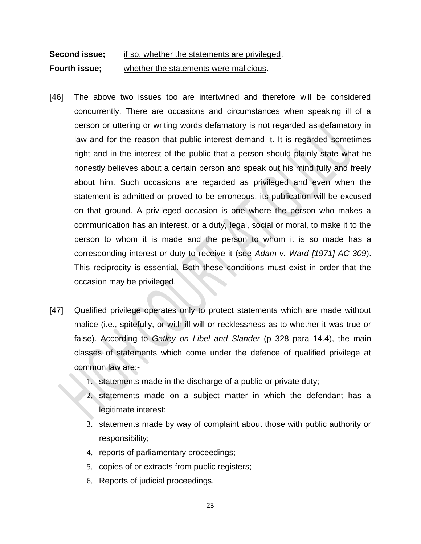# **Second issue;** if so, whether the statements are privileged. **Fourth issue;** whether the statements were malicious.

- [46] The above two issues too are intertwined and therefore will be considered concurrently. There are occasions and circumstances when speaking ill of a person or uttering or writing words defamatory is not regarded as defamatory in law and for the reason that public interest demand it. It is regarded sometimes right and in the interest of the public that a person should plainly state what he honestly believes about a certain person and speak out his mind fully and freely about him. Such occasions are regarded as privileged and even when the statement is admitted or proved to be erroneous, its publication will be excused on that ground. A privileged occasion is one where the person who makes a communication has an interest, or a duty, legal, social or moral, to make it to the person to whom it is made and the person to whom it is so made has a corresponding interest or duty to receive it (see *Adam v. Ward [1971] AC 309*). This reciprocity is essential. Both these conditions must exist in order that the occasion may be privileged.
- [47] Qualified privilege operates only to protect statements which are made without malice (i.e., spitefully, or with ill-will or recklessness as to whether it was true or false). According to *Gatley on Libel and Slander* (p 328 para 14.4), the main classes of statements which come under the defence of qualified privilege at common law are:-
	- 1. statements made in the discharge of a public or private duty;
	- 2. statements made on a subject matter in which the defendant has a legitimate interest;
	- 3. statements made by way of complaint about those with public authority or responsibility;
	- 4. reports of parliamentary proceedings;
	- 5. copies of or extracts from public registers;
	- 6. Reports of judicial proceedings.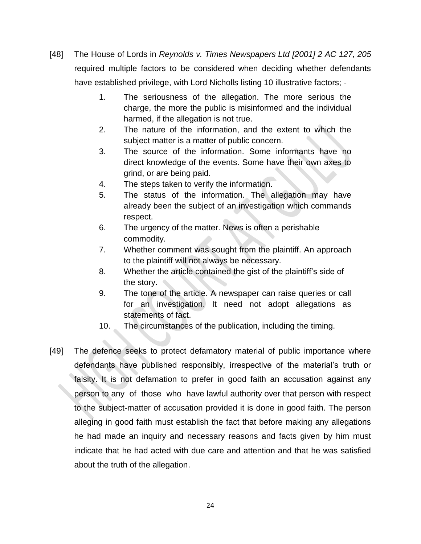- [48] The House of Lords in *Reynolds v. Times Newspapers Ltd [2001] 2 AC 127, 205* required multiple factors to be considered when deciding whether defendants have established privilege, with Lord Nicholls listing 10 illustrative factors; -
	- 1. The seriousness of the allegation. The more serious the charge, the more the public is misinformed and the individual harmed, if the allegation is not true.
	- 2. The nature of the information, and the extent to which the subject matter is a matter of public concern.
	- 3. The source of the information. Some informants have no direct knowledge of the events. Some have their own axes to grind, or are being paid.
	- 4. The steps taken to verify the information.
	- 5. The status of the information. The allegation may have already been the subject of an investigation which commands respect.
	- 6. The urgency of the matter. News is often a perishable commodity.
	- 7. Whether comment was sought from the plaintiff. An approach to the plaintiff will not always be necessary.
	- 8. Whether the article contained the gist of the plaintiff's side of the story.
	- 9. The tone of the article. A newspaper can raise queries or call for an investigation. It need not adopt allegations as statements of fact.
	- 10. The circumstances of the publication, including the timing.
- [49] The defence seeks to protect defamatory material of public importance where defendants have published responsibly, irrespective of the material's truth or falsity. It is not defamation to prefer in good faith an accusation against any person to any of those who have lawful authority over that person with respect to the subject-matter of accusation provided it is done in good faith. The person alleging in good faith must establish the fact that before making any allegations he had made an inquiry and necessary reasons and facts given by him must indicate that he had acted with due care and attention and that he was satisfied about the truth of the allegation.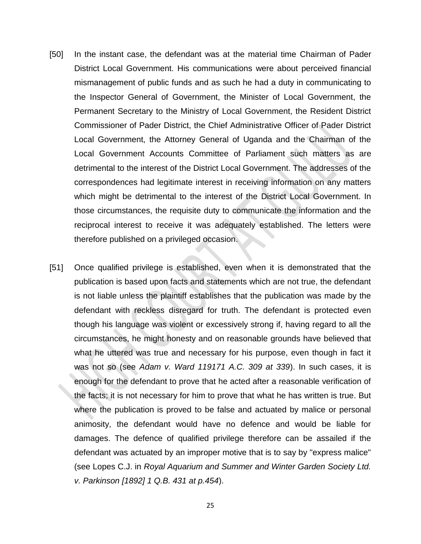- [50] In the instant case, the defendant was at the material time Chairman of Pader District Local Government. His communications were about perceived financial mismanagement of public funds and as such he had a duty in communicating to the Inspector General of Government, the Minister of Local Government, the Permanent Secretary to the Ministry of Local Government, the Resident District Commissioner of Pader District, the Chief Administrative Officer of Pader District Local Government, the Attorney General of Uganda and the Chairman of the Local Government Accounts Committee of Parliament such matters as are detrimental to the interest of the District Local Government. The addresses of the correspondences had legitimate interest in receiving information on any matters which might be detrimental to the interest of the District Local Government. In those circumstances, the requisite duty to communicate the information and the reciprocal interest to receive it was adequately established. The letters were therefore published on a privileged occasion.
- [51] Once qualified privilege is established, even when it is demonstrated that the publication is based upon facts and statements which are not true, the defendant is not liable unless the plaintiff establishes that the publication was made by the defendant with reckless disregard for truth. The defendant is protected even though his language was violent or excessively strong if, having regard to all the circumstances, he might honesty and on reasonable grounds have believed that what he uttered was true and necessary for his purpose, even though in fact it was not so (see *Adam v. Ward 119171 A.C. 309 at 339*). In such cases, it is enough for the defendant to prove that he acted after a reasonable verification of the facts; it is not necessary for him to prove that what he has written is true. But where the publication is proved to be false and actuated by malice or personal animosity, the defendant would have no defence and would be liable for damages. The defence of qualified privilege therefore can be assailed if the defendant was actuated by an improper motive that is to say by "express malice" (see Lopes C.J. in *Royal Aquarium and Summer and Winter Garden Society Ltd. v. Parkinson [1892] 1 Q.B. 431 at p.454*).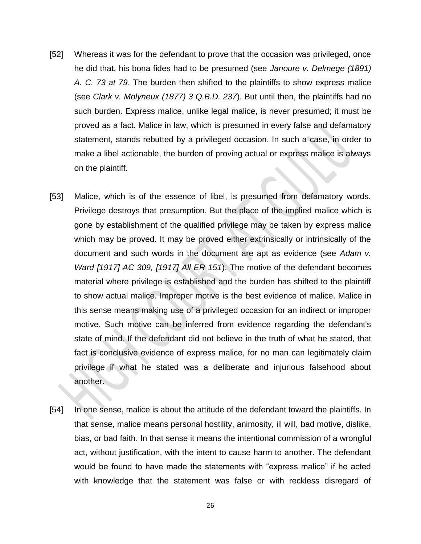- [52] Whereas it was for the defendant to prove that the occasion was privileged, once he did that, his bona fides had to be presumed (see *Janoure v. Delmege (1891) A. C. 73 at 79*. The burden then shifted to the plaintiffs to show express malice (see *Clark v. Molyneux (1877) 3 Q.B.D. 237*). But until then, the plaintiffs had no such burden. Express malice, unlike legal malice, is never presumed; it must be proved as a fact. Malice in law, which is presumed in every false and defamatory statement, stands rebutted by a privileged occasion. In such a case, in order to make a libel actionable, the burden of proving actual or express malice is always on the plaintiff.
- [53] Malice, which is of the essence of libel, is presumed from defamatory words. Privilege destroys that presumption. But the place of the implied malice which is gone by establishment of the qualified privilege may be taken by express malice which may be proved. It may be proved either extrinsically or intrinsically of the document and such words in the document are apt as evidence (see *Adam v. Ward [1917] AC 309, [1917] All ER 151*). The motive of the defendant becomes material where privilege is established and the burden has shifted to the plaintiff to show actual malice. Improper motive is the best evidence of malice. Malice in this sense means making use of a privileged occasion for an indirect or improper motive. Such motive can be inferred from evidence regarding the defendant's state of mind. If the defendant did not believe in the truth of what he stated, that fact is conclusive evidence of express malice, for no man can legitimately claim privilege if what he stated was a deliberate and injurious falsehood about another.
- [54] In one sense, malice is about the attitude of the defendant toward the plaintiffs. In that sense, malice means personal hostility, animosity, ill will, bad motive, dislike, bias, or bad faith. In that sense it means the intentional commission of a wrongful act, without justification, with the intent to cause harm to another. The defendant would be found to have made the statements with "express malice" if he acted with knowledge that the statement was false or with reckless disregard of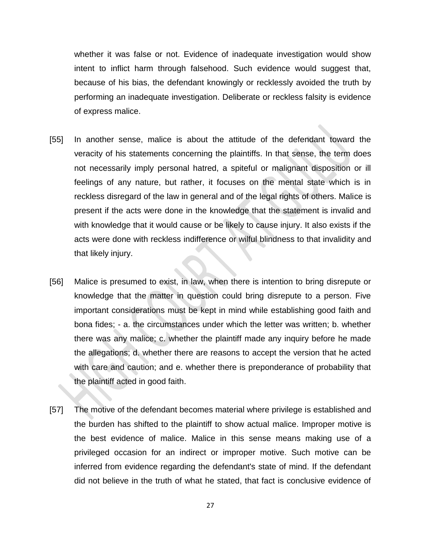whether it was false or not. Evidence of inadequate investigation would show intent to inflict harm through falsehood. Such evidence would suggest that, because of his bias, the defendant knowingly or recklessly avoided the truth by performing an inadequate investigation. Deliberate or reckless falsity is evidence of express malice.

- [55] In another sense, malice is about the attitude of the defendant toward the veracity of his statements concerning the plaintiffs. In that sense, the term does not necessarily imply personal hatred, a spiteful or malignant disposition or ill feelings of any nature, but rather, it focuses on the mental state which is in reckless disregard of the law in general and of the legal rights of others. Malice is present if the acts were done in the knowledge that the statement is invalid and with knowledge that it would cause or be likely to cause injury. It also exists if the acts were done with reckless indifference or wilful blindness to that invalidity and that likely injury.
- [56] Malice is presumed to exist, in law, when there is intention to bring disrepute or knowledge that the matter in question could bring disrepute to a person. Five important considerations must be kept in mind while establishing good faith and bona fides; - a. the circumstances under which the letter was written; b. whether there was any malice; c. whether the plaintiff made any inquiry before he made the allegations; d. whether there are reasons to accept the version that he acted with care and caution; and e. whether there is preponderance of probability that the plaintiff acted in good faith.
- [57] The motive of the defendant becomes material where privilege is established and the burden has shifted to the plaintiff to show actual malice. Improper motive is the best evidence of malice. Malice in this sense means making use of a privileged occasion for an indirect or improper motive. Such motive can be inferred from evidence regarding the defendant's state of mind. If the defendant did not believe in the truth of what he stated, that fact is conclusive evidence of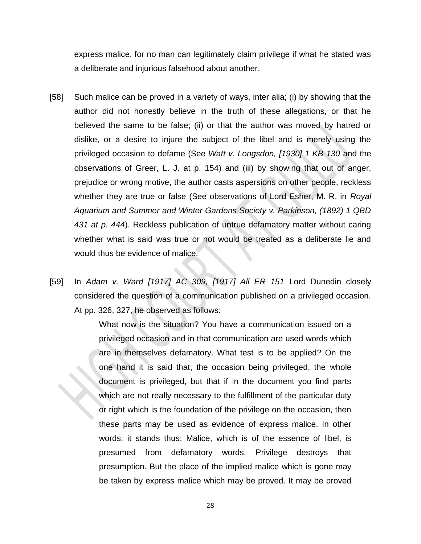express malice, for no man can legitimately claim privilege if what he stated was a deliberate and injurious falsehood about another.

- [58] Such malice can be proved in a variety of ways, inter alia; (i) by showing that the author did not honestly believe in the truth of these allegations, or that he believed the same to be false; (ii) or that the author was moved by hatred or dislike, or a desire to injure the subject of the libel and is merely using the privileged occasion to defame (See *Watt v. Longsdon, [1930] 1 KB 130* and the observations of Greer, L. J. at p. 154) and (iii) by showing that out of anger, prejudice or wrong motive, the author casts aspersions on other people, reckless whether they are true or false (See observations of Lord Esher, M. R. in *Royal Aquarium and Summer and Winter Gardens Society v. Parkinson, (1892) 1 QBD 431 at p. 444*). Reckless publication of untrue defamatory matter without caring whether what is said was true or not would be treated as a deliberate lie and would thus be evidence of malice.
- [59] In *Adam v. Ward [1917] AC 309, [1917] All ER 151* Lord Dunedin closely considered the question of a communication published on a privileged occasion. At pp. 326, 327, he observed as follows:

What now is the situation? You have a communication issued on a privileged occasion and in that communication are used words which are in themselves defamatory. What test is to be applied? On the one hand it is said that, the occasion being privileged, the whole document is privileged, but that if in the document you find parts which are not really necessary to the fulfillment of the particular duty or right which is the foundation of the privilege on the occasion, then these parts may be used as evidence of express malice. In other words, it stands thus: Malice, which is of the essence of libel, is presumed from defamatory words. Privilege destroys that presumption. But the place of the implied malice which is gone may be taken by express malice which may be proved. It may be proved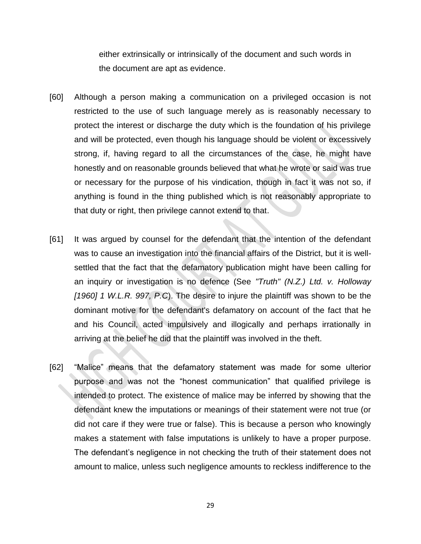either extrinsically or intrinsically of the document and such words in the document are apt as evidence.

- [60] Although a person making a communication on a privileged occasion is not restricted to the use of such language merely as is reasonably necessary to protect the interest or discharge the duty which is the foundation of his privilege and will be protected, even though his language should be violent or excessively strong, if, having regard to all the circumstances of the case, he might have honestly and on reasonable grounds believed that what he wrote or said was true or necessary for the purpose of his vindication, though in fact it was not so, if anything is found in the thing published which is not reasonably appropriate to that duty or right, then privilege cannot extend to that.
- [61] It was argued by counsel for the defendant that the intention of the defendant was to cause an investigation into the financial affairs of the District, but it is wellsettled that the fact that the defamatory publication might have been calling for an inquiry or investigation is no defence (See *"Truth" (N.Z.) Ltd. v. Holloway [1960] 1 W.L.R. 997, P.C*). The desire to injure the plaintiff was shown to be the dominant motive for the defendant's defamatory on account of the fact that he and his Council, acted impulsively and illogically and perhaps irrationally in arriving at the belief he did that the plaintiff was involved in the theft.
- [62] "Malice" means that the defamatory statement was made for some ulterior purpose and was not the "honest communication" that qualified privilege is intended to protect. The existence of malice may be inferred by showing that the defendant knew the imputations or meanings of their statement were not true (or did not care if they were true or false). This is because a person who knowingly makes a statement with false imputations is unlikely to have a proper purpose. The defendant's negligence in not checking the truth of their statement does not amount to malice, unless such negligence amounts to reckless indifference to the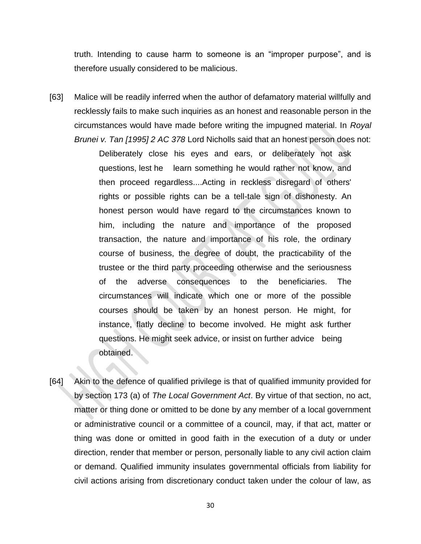truth. Intending to cause harm to someone is an "improper purpose", and is therefore usually considered to be malicious.

[63] Malice will be readily inferred when the author of defamatory material willfully and recklessly fails to make such inquiries as an honest and reasonable person in the circumstances would have made before writing the impugned material. In *Royal Brunei v. Tan [1995] 2 AC 378* Lord Nicholls said that an honest person does not:

> Deliberately close his eyes and ears, or deliberately not ask questions, lest he learn something he would rather not know, and then proceed regardless....Acting in reckless disregard of others' rights or possible rights can be a tell-tale sign of dishonesty. An honest person would have regard to the circumstances known to him, including the nature and importance of the proposed transaction, the nature and importance of his role, the ordinary course of business, the degree of doubt, the practicability of the trustee or the third party proceeding otherwise and the seriousness of the adverse consequences to the beneficiaries. The circumstances will indicate which one or more of the possible courses should be taken by an honest person. He might, for instance, flatly decline to become involved. He might ask further questions. He might seek advice, or insist on further advice being obtained.

[64] Akin to the defence of qualified privilege is that of qualified immunity provided for by section 173 (a) of *The Local Government Act*. By virtue of that section, no act, matter or thing done or omitted to be done by any member of a local government or administrative council or a committee of a council, may, if that act, matter or thing was done or omitted in good faith in the execution of a duty or under direction, render that member or person, personally liable to any civil action claim or demand. Qualified immunity insulates governmental officials from liability for civil actions arising from discretionary conduct taken under the colour of law, as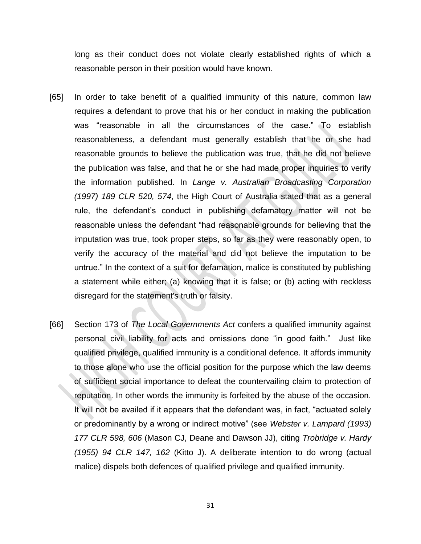long as their conduct does not violate clearly established rights of which a reasonable person in their position would have known.

- [65] In order to take benefit of a qualified immunity of this nature, common law requires a defendant to prove that his or her conduct in making the publication was "reasonable in all the circumstances of the case." To establish reasonableness, a defendant must generally establish that he or she had reasonable grounds to believe the publication was true, that he did not believe the publication was false, and that he or she had made proper inquiries to verify the information published. In *Lange v. Australian Broadcasting Corporation (1997) 189 CLR 520, 574*, the High Court of Australia stated that as a general rule, the defendant's conduct in publishing defamatory matter will not be reasonable unless the defendant "had reasonable grounds for believing that the imputation was true, took proper steps, so far as they were reasonably open, to verify the accuracy of the material and did not believe the imputation to be untrue." In the context of a suit for defamation, malice is constituted by publishing a statement while either; (a) knowing that it is false; or (b) acting with reckless disregard for the statement's truth or falsity.
- [66] Section 173 of *The Local Governments Act* confers a qualified immunity against personal civil liability for acts and omissions done "in good faith." Just like qualified privilege, qualified immunity is a conditional defence. It affords immunity to those alone who use the official position for the purpose which the law deems of sufficient social importance to defeat the countervailing claim to protection of reputation. In other words the immunity is forfeited by the abuse of the occasion. It will not be availed if it appears that the defendant was, in fact, "actuated solely or predominantly by a wrong or indirect motive" (see *Webster v. Lampard (1993) 177 CLR 598, 606* (Mason CJ, Deane and Dawson JJ), citing *Trobridge v. Hardy (1955) 94 CLR 147, 162* (Kitto J). A deliberate intention to do wrong (actual malice) dispels both defences of qualified privilege and qualified immunity.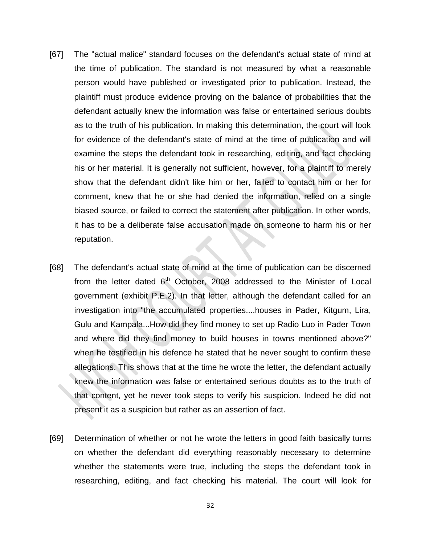- [67] The "actual malice" standard focuses on the defendant's actual state of mind at the time of publication. The standard is not measured by what a reasonable person would have published or investigated prior to publication. Instead, the plaintiff must produce evidence proving on the balance of probabilities that the defendant actually knew the information was false or entertained serious doubts as to the truth of his publication. In making this determination, the court will look for evidence of the defendant's state of mind at the time of publication and will examine the steps the defendant took in researching, editing, and fact checking his or her material. It is generally not sufficient, however, for a plaintiff to merely show that the defendant didn't like him or her, failed to contact him or her for comment, knew that he or she had denied the information, relied on a single biased source, or failed to correct the statement after publication. In other words, it has to be a deliberate false accusation made on someone to harm his or her reputation.
- [68] The defendant's actual state of mind at the time of publication can be discerned from the letter dated  $6<sup>th</sup>$  October, 2008 addressed to the Minister of Local government (exhibit P.E.2). In that letter, although the defendant called for an investigation into "the accumulated properties....houses in Pader, Kitgum, Lira, Gulu and Kampala...How did they find money to set up Radio Luo in Pader Town and where did they find money to build houses in towns mentioned above?" when he testified in his defence he stated that he never sought to confirm these allegations. This shows that at the time he wrote the letter, the defendant actually knew the information was false or entertained serious doubts as to the truth of that content, yet he never took steps to verify his suspicion. Indeed he did not present it as a suspicion but rather as an assertion of fact.
- [69] Determination of whether or not he wrote the letters in good faith basically turns on whether the defendant did everything reasonably necessary to determine whether the statements were true, including the steps the defendant took in researching, editing, and fact checking his material. The court will look for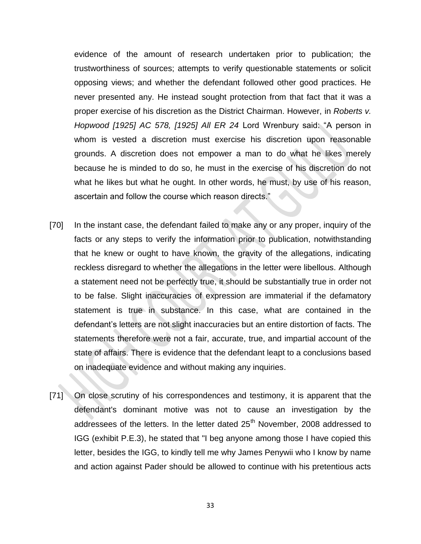evidence of the amount of research undertaken prior to publication; the trustworthiness of sources; attempts to verify questionable statements or solicit opposing views; and whether the defendant followed other good practices. He never presented any. He instead sought protection from that fact that it was a proper exercise of his discretion as the District Chairman. However, in *Roberts v. Hopwood [1925] AC 578, [1925] All ER 24* Lord Wrenbury said: "A person in whom is vested a discretion must exercise his discretion upon reasonable grounds. A discretion does not empower a man to do what he likes merely because he is minded to do so, he must in the exercise of his discretion do not what he likes but what he ought. In other words, he must, by use of his reason, ascertain and follow the course which reason directs."

- [70] In the instant case, the defendant failed to make any or any proper, inquiry of the facts or any steps to verify the information prior to publication, notwithstanding that he knew or ought to have known, the gravity of the allegations, indicating reckless disregard to whether the allegations in the letter were libellous. Although a statement need not be perfectly true, it should be substantially true in order not to be false. Slight inaccuracies of expression are immaterial if the defamatory statement is true in substance. In this case, what are contained in the defendant's letters are not slight inaccuracies but an entire distortion of facts. The statements therefore were not a fair, accurate, true, and impartial account of the state of affairs. There is evidence that the defendant leapt to a conclusions based on inadequate evidence and without making any inquiries.
- [71] On close scrutiny of his correspondences and testimony, it is apparent that the defendant's dominant motive was not to cause an investigation by the addressees of the letters. In the letter dated 25<sup>th</sup> November, 2008 addressed to IGG (exhibit P.E.3), he stated that "I beg anyone among those I have copied this letter, besides the IGG, to kindly tell me why James Penywii who I know by name and action against Pader should be allowed to continue with his pretentious acts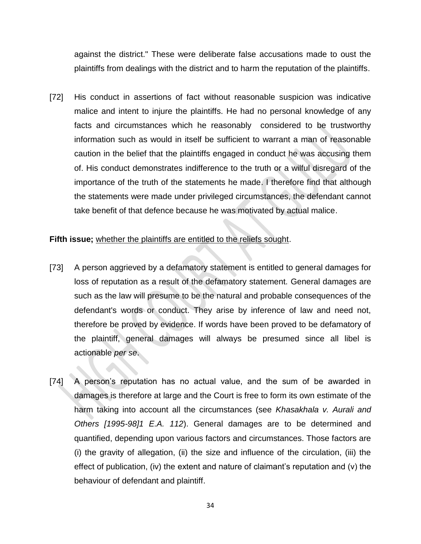against the district." These were deliberate false accusations made to oust the plaintiffs from dealings with the district and to harm the reputation of the plaintiffs.

[72] His conduct in assertions of fact without reasonable suspicion was indicative malice and intent to injure the plaintiffs. He had no personal knowledge of any facts and circumstances which he reasonably considered to be trustworthy information such as would in itself be sufficient to warrant a man of reasonable caution in the belief that the plaintiffs engaged in conduct he was accusing them of. His conduct demonstrates indifference to the truth or a wilful disregard of the importance of the truth of the statements he made. I therefore find that although the statements were made under privileged circumstances, the defendant cannot take benefit of that defence because he was motivated by actual malice.

## **Fifth issue;** whether the plaintiffs are entitled to the reliefs sought.

- [73] A person aggrieved by a defamatory statement is entitled to general damages for loss of reputation as a result of the defamatory statement. General damages are such as the law will presume to be the natural and probable consequences of the defendant's words or conduct. They arise by inference of law and need not, therefore be proved by evidence. If words have been proved to be defamatory of the plaintiff, general damages will always be presumed since all libel is actionable *per se*.
- [74] A person's reputation has no actual value, and the sum of be awarded in damages is therefore at large and the Court is free to form its own estimate of the harm taking into account all the circumstances (see *Khasakhala v. Aurali and Others [1995-98]1 E.A. 112*). General damages are to be determined and quantified, depending upon various factors and circumstances. Those factors are (i) the gravity of allegation, (ii) the size and influence of the circulation, (iii) the effect of publication, (iv) the extent and nature of claimant's reputation and (v) the behaviour of defendant and plaintiff.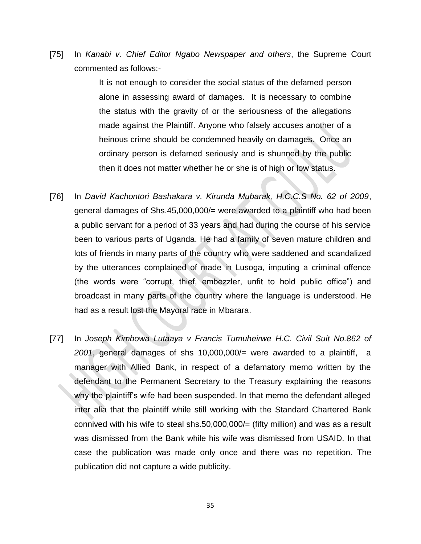[75] In *Kanabi v. Chief Editor Ngabo Newspaper and others*, the Supreme Court commented as follows;-

> It is not enough to consider the social status of the defamed person alone in assessing award of damages. It is necessary to combine the status with the gravity of or the seriousness of the allegations made against the Plaintiff. Anyone who falsely accuses another of a heinous crime should be condemned heavily on damages. Once an ordinary person is defamed seriously and is shunned by the public then it does not matter whether he or she is of high or low status.

- [76] In *David Kachontori Bashakara v. Kirunda Mubarak, H.C.C.S No. 62 of 2009*, general damages of Shs.45,000,000/= were awarded to a plaintiff who had been a public servant for a period of 33 years and had during the course of his service been to various parts of Uganda. He had a family of seven mature children and lots of friends in many parts of the country who were saddened and scandalized by the utterances complained of made in Lusoga, imputing a criminal offence (the words were "corrupt, thief, embezzler, unfit to hold public office") and broadcast in many parts of the country where the language is understood. He had as a result lost the Mayoral race in Mbarara.
- [77] In *Joseph Kimbowa Lutaaya v Francis Tumuheirwe H.C. Civil Suit No.862 of 2001*, general damages of shs 10,000,000/= were awarded to a plaintiff, a manager with Allied Bank, in respect of a defamatory memo written by the defendant to the Permanent Secretary to the Treasury explaining the reasons why the plaintiff's wife had been suspended. In that memo the defendant alleged inter alia that the plaintiff while still working with the Standard Chartered Bank connived with his wife to steal shs.50,000,000/= (fifty million) and was as a result was dismissed from the Bank while his wife was dismissed from USAID. In that case the publication was made only once and there was no repetition. The publication did not capture a wide publicity.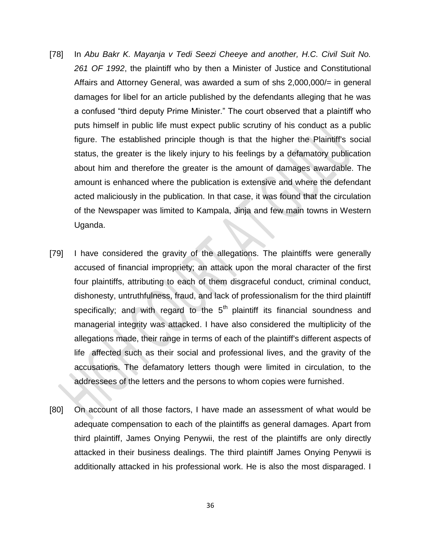- [78] In *Abu Bakr K. Mayanja v Tedi Seezi Cheeye and another, H.C. Civil Suit No. 261 OF 1992*, the plaintiff who by then a Minister of Justice and Constitutional Affairs and Attorney General, was awarded a sum of shs 2,000,000/= in general damages for libel for an article published by the defendants alleging that he was a confused "third deputy Prime Minister." The court observed that a plaintiff who puts himself in public life must expect public scrutiny of his conduct as a public figure. The established principle though is that the higher the Plaintiff's social status, the greater is the likely injury to his feelings by a defamatory publication about him and therefore the greater is the amount of damages awardable. The amount is enhanced where the publication is extensive and where the defendant acted maliciously in the publication. In that case, it was found that the circulation of the Newspaper was limited to Kampala, Jinja and few main towns in Western Uganda.
- [79] I have considered the gravity of the allegations. The plaintiffs were generally accused of financial impropriety; an attack upon the moral character of the first four plaintiffs, attributing to each of them disgraceful conduct, criminal conduct, dishonesty, untruthfulness, fraud, and lack of professionalism for the third plaintiff specifically; and with regard to the  $5<sup>th</sup>$  plaintiff its financial soundness and managerial integrity was attacked. I have also considered the multiplicity of the allegations made, their range in terms of each of the plaintiff's different aspects of life affected such as their social and professional lives, and the gravity of the accusations. The defamatory letters though were limited in circulation, to the addressees of the letters and the persons to whom copies were furnished.
- [80] On account of all those factors, I have made an assessment of what would be adequate compensation to each of the plaintiffs as general damages. Apart from third plaintiff, James Onying Penywii, the rest of the plaintiffs are only directly attacked in their business dealings. The third plaintiff James Onying Penywii is additionally attacked in his professional work. He is also the most disparaged. I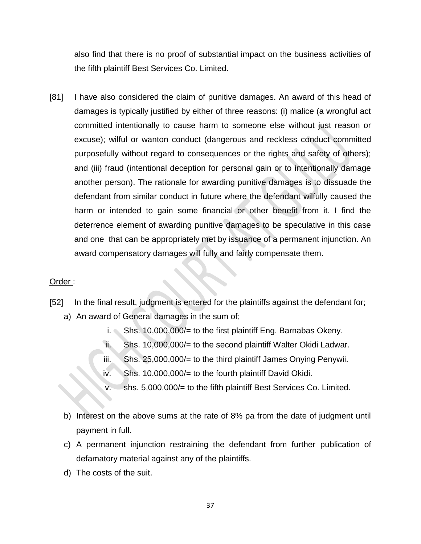also find that there is no proof of substantial impact on the business activities of the fifth plaintiff Best Services Co. Limited.

[81] I have also considered the claim of punitive damages. An award of this head of damages is typically justified by either of three reasons: (i) malice (a wrongful act committed intentionally to cause harm to someone else without just reason or excuse); wilful or wanton conduct (dangerous and reckless conduct committed purposefully without regard to consequences or the rights and safety of others); and (iii) fraud (intentional deception for personal gain or to intentionally damage another person). The rationale for awarding punitive damages is to dissuade the defendant from similar conduct in future where the defendant wilfully caused the harm or intended to gain some financial or other benefit from it. I find the deterrence element of awarding punitive damages to be speculative in this case and one that can be appropriately met by issuance of a permanent injunction. An award compensatory damages will fully and fairly compensate them.

## Order :

- [52] In the final result, judgment is entered for the plaintiffs against the defendant for; a) An award of General damages in the sum of;
	- i. Shs. 10,000,000/= to the first plaintiff Eng. Barnabas Okeny.
	- ii. Shs. 10,000,000/= to the second plaintiff Walter Okidi Ladwar.
	- $iii.$  Shs. 25,000,000/= to the third plaintiff James Onying Penywii.
	- iv. Shs. 10,000,000/= to the fourth plaintiff David Okidi.
	- shs. 5,000,000/= to the fifth plaintiff Best Services Co. Limited.
	- b) Interest on the above sums at the rate of 8% pa from the date of judgment until payment in full.
	- c) A permanent injunction restraining the defendant from further publication of defamatory material against any of the plaintiffs.
	- d) The costs of the suit.